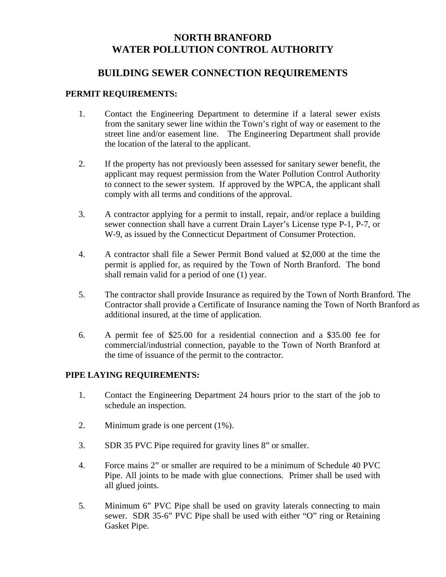## **NORTH BRANFORD WATER POLLUTION CONTROL AUTHORITY**

## **BUILDING SEWER CONNECTION REQUIREMENTS**

## **PERMIT REQUIREMENTS:**

- 1. Contact the Engineering Department to determine if a lateral sewer exists from the sanitary sewer line within the Town's right of way or easement to the street line and/or easement line. The Engineering Department shall provide the location of the lateral to the applicant.
- 2. If the property has not previously been assessed for sanitary sewer benefit, the applicant may request permission from the Water Pollution Control Authority to connect to the sewer system. If approved by the WPCA, the applicant shall comply with all terms and conditions of the approval.
- 3. A contractor applying for a permit to install, repair, and/or replace a building sewer connection shall have a current Drain Layer's License type P-1, P-7, or W-9, as issued by the Connecticut Department of Consumer Protection.
- 4. A contractor shall file a Sewer Permit Bond valued at \$2,000 at the time the permit is applied for, as required by the Town of North Branford. The bond shall remain valid for a period of one (1) year.
- 5. The contractor shall provide Insurance as required by the Town of North Branford. The Contractor shall provide a Certificate of Insurance naming the Town of North Branford as additional insured, at the time of application.
- 6. A permit fee of \$25.00 for a residential connection and a \$35.00 fee for commercial/industrial connection, payable to the Town of North Branford at the time of issuance of the permit to the contractor.

## **PIPE LAYING REQUIREMENTS:**

- 1. Contact the Engineering Department 24 hours prior to the start of the job to schedule an inspection.
- 2. Minimum grade is one percent (1%).
- 3. SDR 35 PVC Pipe required for gravity lines 8" or smaller.
- 4. Force mains 2" or smaller are required to be a minimum of Schedule 40 PVC Pipe. All joints to be made with glue connections. Primer shall be used with all glued joints.
- 5. Minimum 6" PVC Pipe shall be used on gravity laterals connecting to main sewer. SDR 35-6" PVC Pipe shall be used with either "O" ring or Retaining Gasket Pipe.